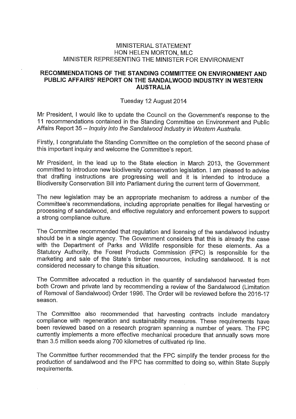## MINISTERIAL STATEMENT HON HELEN MORTON, MLC MINISTER REPRESENTING THE MINISTER FOR ENVIRONMENT

## **RECOMMENDATIONS OF THE STANDING COMMITTEE ON ENVIRONMENT AND PUBLIC AFFAIRS' REPORT ON THE SANDALWOOD INDUSTRY IN WESTERN AUSTRALIA**

## Tuesday 12 August 2014

Mr President, I would like to update the Council on the Government's response to the 11 recommendations contained in the Standing Committee on Environment and Public Affairs Report 35 — Inquiry into the Sandalwood Industry in Western Australia.

Firstly, I congratulate the Standing Committee on the completion of the second phase of this important inquiry and welcome the Committee's report.

Mr President, in the lead up to the State election in March 2013, the Government committed to introduce new biodiversity conservation legislation. I am pleased to advise that drafting instructions are progressing well and it is intended to introduce a Biodiversity Conservation Bill into Parliament during the current term of Government.

The new legislation may be an appropriate mechanism to address a number of the Committee's recommendations, including appropriate penalties for illegal harvesting or processing of sandalwood, and effective regulatory and enforcement powers to support a strong compliance culture.

The Committee recommended that regulation and licensing of the sandalwood industry should be in a single agency. The Government considers that this is already the case with the Department of Parks and Wildlife responsible for these elements. As a Statutory Authority, the Forest Products Commission (FPC) is responsible for the marketing and sale of the State's timber resources, including sandalwood. It is not considered necessary to change this situation.

The Committee advocated a reduction in the quantity of sandalwood harvested from both Crown and private land by recommending a review of the Sandalwood (Limitation of Removal of Sandalwood) Order 1996. The Order will be reviewed before the 2016-17 season.

The Committee also recommended that harvesting contracts include mandatory compliance with regeneration and sustainability measures. These requirements have been reviewed based on a research program spanning a number of years. The FPC currently implements a more effective mechanical procedure that annually sows more than 3.5 million seeds along 700 kilometres of cultivated rip line.

The Committee further recommended that the FPC simplify the tender process for the production of sandalwood and the FPC has committed to doing so, within State Supply requirements.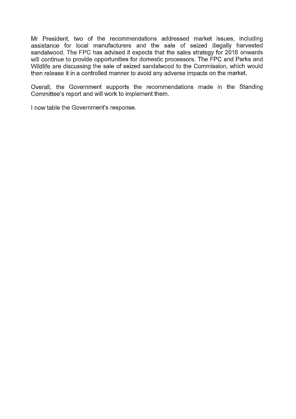Mr President, two of the recommendations addressed market issues, including assistance for local manufacturers and the sale of seized illegally harvested sandalwood. The FPC has advised it expects that the sales strategy for 2016 onwards will continue to provide opportunities for domestic processors. The FPC and Parks and Wildlife are discussing the sale of seized sandalwood to the Commission, which would then release it in a controlled manner to avoid any adverse impacts on the market.

Overall, the Government supports the recommendations made in the Standing Committee's report and will work to implement them.

I now table the Government's response.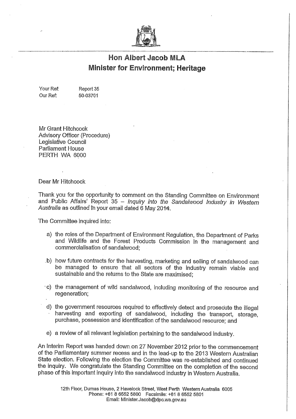

# **Hon Albert Jacob MLA Minister for Environment; Heritage**

Your Ref: Report 35 Our Ref: 50-03701

Mr Grant Hitchcock Advisory Officer (Procedure) Legislative Council Parliament House PERTH WA 6000

Dear Mr Hitchcock

Thank you for the opportunity to comment on the Standing Committee on Environment and Public Affairs' Report 35 — *Mquiry into the Sandalwood Industry in Western* Australia as outlined in your email dated 6 May 2014.

The Committee inquired into:

- a) the roles of the Department of Environment Regulation, the Department of Parks and Wildlife and the Forest Products Commission in the management and commercialisation of sandalwood;
- b) how future contracts for the harvesting, marketing and selling of sandalwood can be managed to ensure that all sectors of the industry remain viable and sustainable and the returns to the State are maximised;
- c) the management of wild sandalwood, including monitoring of the resource and regeneration;
- d) the government resources required to effectively detect and prosecute the illegal harvesting and exporting of sandalwood, including the transport, storage, purchase, possession and identification of the sandalwood resource; and
- e) a review of all relevant legislation pertaining to the sandalwood industry.

An Interim Report was handed down on 27 November 2012 prior to the commencement of the Parliamentary summer recess and in the lead-up to the 2013 Western Australian State election. Following the election the Committee was re-established and continued the inquiry. We congratulate the Standing Committee on the completion of the second phase of this important inquiry into the sandalwood industry in Western Australia.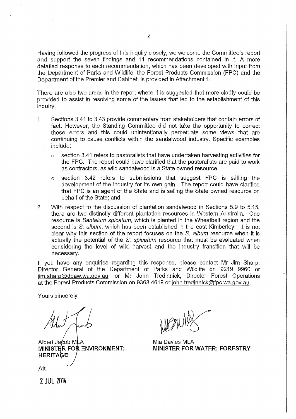Having followed the progress of this inquiry closely, we welcome the Committee's report and support the seven findings and 11 recommendations contained in it. A more detailed response to each recommendation, which has been developed with input from the Department of Parks and Wildlife, the Forest Products Commission (FPC) and the Department of the Premier and Cabinet, is provided in Attachment 1.

There are also two areas in the report where it is suggested that more clarity could be provided to assist in resolving some of the issues that led to the establishment of this inquiry:

- 1. Sections 3.41 to 3.43 provide commentary from stakeholders that contain errors of fact. However, the Standing Committee did not take the opportunity to correct these errors and this could unintentionally perpetuate some views that are continuing to cause conflicts within the sandalwood industry. Specific examples include:
	- o section 3.41 refers to pastoralists that have undertaken harvesting activities for the FPC. The report could have clarified that the pastoralists are paid to work as contractors, as wild sandalwood is a State owned resource.
	- o section 3.42 refers to submissions that suggest FPC is stifling the development of the industry for its own gain. The report could have clarified that FPC is an agent of the State and is selling the State owned resource on behalf of the State; and
- 2. With respect to the discussion of plantation sandalwood in Sections 5.9 to 5.15, there are two distinctly different plantation resources in Western Australia. One resource is *Santa/urn spicatum,* which is planted in the Wheatbelt region and the second is *S. album,* which has been established in the east Kimberley. It is not clear why this section of the report focuses on the *S. album* resource when it is actually the potential of the *S. spicatum* resource that must be evaluated when considering the level of wild harvest and the industry transition that will be necessary.

If you have any enquiries regarding this response, please contact Mr Jim Sharp, Director General of the Department of Parks and Wildlife on 9219 9960 or  $j$ im.sharp@dpaw.wa.gov.au, or Mr John Tredinnick, Director Forest Operations at the Forest Products Commission on 9363 4619 or john.tredinnick@fpc.wa.gov.au.

Yours sincerely

Albert Jacob MLA **MINISTER FOR ENVIRONMENT; HERITAOE**

Mia Davies MLA **ENVIRONMENT; MINISTER FOR WATER; FORESTRY**

Att.

2 JUL 2014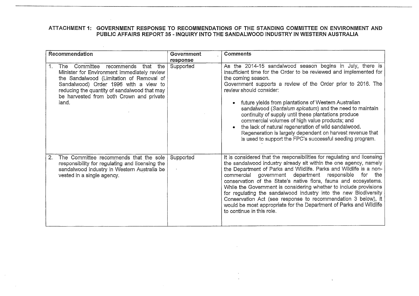$\sim 10^7$ 

 $\sim 100$ 

 $\sim$ 

| Recommendation                                                                                                                                                                                                                                                             | Government<br>response | <b>Comments</b>                                                                                                                                                                                                                                                                                                                                                                                                                                                                                                                                                                                                                                                             |
|----------------------------------------------------------------------------------------------------------------------------------------------------------------------------------------------------------------------------------------------------------------------------|------------------------|-----------------------------------------------------------------------------------------------------------------------------------------------------------------------------------------------------------------------------------------------------------------------------------------------------------------------------------------------------------------------------------------------------------------------------------------------------------------------------------------------------------------------------------------------------------------------------------------------------------------------------------------------------------------------------|
| The Committee recommends that the<br>Minister for Environment immediately review<br>the Sandalwood (Limitation of Removal of<br>Sandalwood) Order 1996 with a view to<br>reducing the quantity of sandalwood that may<br>be harvested from both Crown and private<br>land. | Supported              | As the 2014-15 sandalwood season begins in July, there is<br>insufficient time for the Order to be reviewed and implemented for<br>the coming season.<br>Government supports a review of the Order prior to 2016. The<br>review should consider:<br>future yields from plantations of Western Australian<br>$\bullet$<br>sandalwood (Santalum spicatum) and the need to maintain<br>continuity of supply until these plantations produce<br>commercial volumes of high value products; and<br>the lack of natural regeneration of wild sandalwood.<br>Regeneration is largely dependent on harvest revenue that<br>is used to support the FPC's successful seeding program. |
| The Committee recommends that the sole<br>2.<br>responsibility for regulating and licensing the<br>sandalwood industry in Western Australia be<br>vested in a single agency.                                                                                               | Supported              | It is considered that the responsibilities for regulating and licensing<br>the sandalwood industry already sit within the one agency, namely<br>the Department of Parks and Wildlife. Parks and Wildlife is a non-<br>commercial government department responsible for the<br>conservation of the State's native flora, fauna and ecosystems.<br>While the Government is considering whether to include provisions<br>for regulating the sandalwood industry into the new Biodiversity<br>Conservation Act (see response to recommendation 3 below), it<br>would be most appropriate for the Department of Parks and Wildlife<br>to continue in this role.                  |

 $\sim$ 

 $\Lambda$  .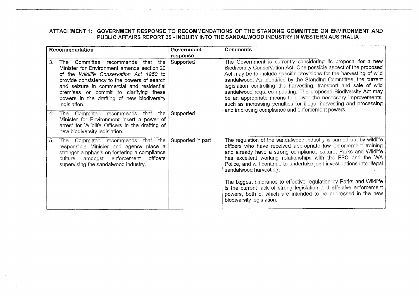$\mathcal{L}^{\pm}$ 

|    | Recommendation                                                                                                                                                                                                                                                                                                                  | Government<br>response | <b>Comments</b>                                                                                                                                                                                                                                                                                                                                                                                                                                                                                                                                                   |
|----|---------------------------------------------------------------------------------------------------------------------------------------------------------------------------------------------------------------------------------------------------------------------------------------------------------------------------------|------------------------|-------------------------------------------------------------------------------------------------------------------------------------------------------------------------------------------------------------------------------------------------------------------------------------------------------------------------------------------------------------------------------------------------------------------------------------------------------------------------------------------------------------------------------------------------------------------|
| 3. | The Committee recommends that the<br>Minister for Environment amends section 20<br>of the Wildlife Conservation Act 1950 to<br>provide consistency to the powers of search<br>and seizure in commercial and residential<br>premises or commit to clarifying these<br>powers in the drafting of new biodiversity<br>legislation. | Supported              | The Government is currently considering its proposal for a new<br>Biodiversity Conservation Act. One possible aspect of the proposed<br>Act may be to include specific provisions for the harvesting of wild<br>sandalwood. As identified by the Standing Committee, the current<br>legislation controlling the harvesting, transport and sale of wild<br>sandalwood requires updating. The proposed Biodiversity Act may<br>be an appropriate means to deliver the necessary improvements,<br>such as increasing penalties for illegal harvesting and processing |
| 4: | The Committee recommends that the<br>Minister for Environment insert a power of<br>arrest for Wildlife Officers in the drafting of<br>new biodiversity legislation.                                                                                                                                                             | Supported              | and improving compliance and enforcement powers.                                                                                                                                                                                                                                                                                                                                                                                                                                                                                                                  |
| 5. | the<br>The Committee recommends that<br>responsible Minister and agency place a<br>stronger emphasis on fostering a compliance<br>amongst enforcement officers<br>culture<br>supervising the sandalwood industry.                                                                                                               | Supported in part      | The regulation of the sandalwood industry is carried out by wildlife<br>officers who have received appropriate law enforcement training<br>and already have a strong compliance culture. Parks and Wildlife<br>has excellent working relationships with the FPC and the WA<br>Police, and will continue to undertake joint investigations into illegal<br>sandalwood harvesting.                                                                                                                                                                                  |
|    |                                                                                                                                                                                                                                                                                                                                 |                        | The biggest hindrance to effective regulation by Parks and Wildlife<br>is the current lack of strong legislation and effective enforcement<br>powers, both of which are intended to be addressed in the new<br>biodiversity legislation.                                                                                                                                                                                                                                                                                                                          |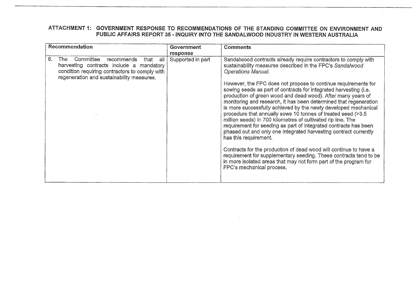| Recommendation                                                                                                                                                                                 | Government<br>response | <b>Comments</b>                                                                                                                                                                                                                                                                                                                                                                                                                                                                                                                                                                                                                                                                                                                                                                                                                                                                                                                                                                                                                                      |
|------------------------------------------------------------------------------------------------------------------------------------------------------------------------------------------------|------------------------|------------------------------------------------------------------------------------------------------------------------------------------------------------------------------------------------------------------------------------------------------------------------------------------------------------------------------------------------------------------------------------------------------------------------------------------------------------------------------------------------------------------------------------------------------------------------------------------------------------------------------------------------------------------------------------------------------------------------------------------------------------------------------------------------------------------------------------------------------------------------------------------------------------------------------------------------------------------------------------------------------------------------------------------------------|
| 6.<br>Committee<br>recommends<br>all<br>The<br>that<br>harvesting contracts include a mandatory<br>condition requiring contractors to comply with<br>regeneration and sustainability measures. | Supported in part      | Sandalwood contracts already require contractors to comply with<br>sustainability measures described in the FPC's Sandalwood<br><b>Operations Manual.</b><br>However, the FPC does not propose to continue requirements for<br>sowing seeds as part of contracts for integrated harvesting (i.e.<br>production of green wood and dead wood). After many years of<br>monitoring and research, it has been determined that regeneration<br>is more successfully achieved by the newly developed mechanical<br>procedure that annually sows 10 tonnes of treated seed (>3.5<br>million seeds) in 700 kilometres of cultivated rip line. The<br>requirement for seeding as part of integrated contracts has been<br>phased out and only one integrated harvesting contract currently<br>has this requirement.<br>Contracts for the production of dead wood will continue to have a<br>requirement for supplementary seeding. These contracts tend to be<br>in more isolated areas that may not form part of the program for<br>FPC's mechanical process. |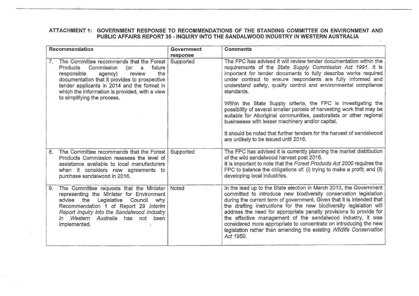| Recommendation                                                                                                                                                                                                                                                                                                             | Government<br>response | <b>Comments</b>                                                                                                                                                                                                                                                                                                                                                                                                                                                                                                                                                                                                                                                                                                                              |
|----------------------------------------------------------------------------------------------------------------------------------------------------------------------------------------------------------------------------------------------------------------------------------------------------------------------------|------------------------|----------------------------------------------------------------------------------------------------------------------------------------------------------------------------------------------------------------------------------------------------------------------------------------------------------------------------------------------------------------------------------------------------------------------------------------------------------------------------------------------------------------------------------------------------------------------------------------------------------------------------------------------------------------------------------------------------------------------------------------------|
| The Committee recommends that the Forest<br>7.<br>Commission<br>Products<br>future<br>a<br>(or<br>the<br>responsible<br>review<br>agency)<br>documentation that it provides to prospective<br>tender applicants in 2014 and the format in<br>which the information is provided, with a view<br>to simplifying the process. | Supported              | The FPC has advised it will review tender documentation within the<br>requirements of the State Supply Commission Act 1991. It is<br>important for tender documents to fully describe works required<br>under contract to ensure respondents are fully informed and<br>understand safety, quality control and environmental compliance<br>standards.<br>Within the State Supply criteria, the FPC is investigating the<br>possibility of several smaller parcels of harvesting work that may be<br>suitable for Aboriginal communities, pastoralists or other regional<br>businesses with lesser machinery and/or capital.<br>It should be noted that further tenders for the harvest of sandalwood<br>are unlikely to be issued until 2016. |
| The Committee recommends that the Forest<br>8.<br>Products Commission reassess the level of<br>assistance available to local manufacturers<br>when it considers new agreements to<br>purchase sandalwood in 2016.                                                                                                          | Supported              | The FPC has advised it is currently planning the market distribution<br>of the wild sandalwood harvest post 2016.<br>It is important to note that the Forest Products Act 2000 requires the<br>FPC to balance the obligations of: (i) trying to make a profit; and (ii)<br>developing local industries.                                                                                                                                                                                                                                                                                                                                                                                                                                      |
| The Committee requests that the Minister<br>9.<br>representing the Minister for Environment<br>advise the<br>Legislative<br>Council<br>why<br>Recommendation 1 of Report 29 Interim<br>Report Inquiry into the Sandalwood Industry<br>Western Australia has<br>not been<br>$\mathbf m$<br>implemented.                     | Noted                  | In the lead up to the State election in March 2013, the Government<br>committed to introduce new biodiversity conservation legislation<br>during the current term of government. Given that it is intended that<br>the drafting instructions for the new biodiversity legislation will<br>address the need for appropriate penalty provisions to provide for<br>the effective management of the sandalwood industry, it was<br>considered more appropriate to concentrate on introducing the new<br>legislation rather than amending the existing Wildlife Conservation<br>Act 1950.                                                                                                                                                         |